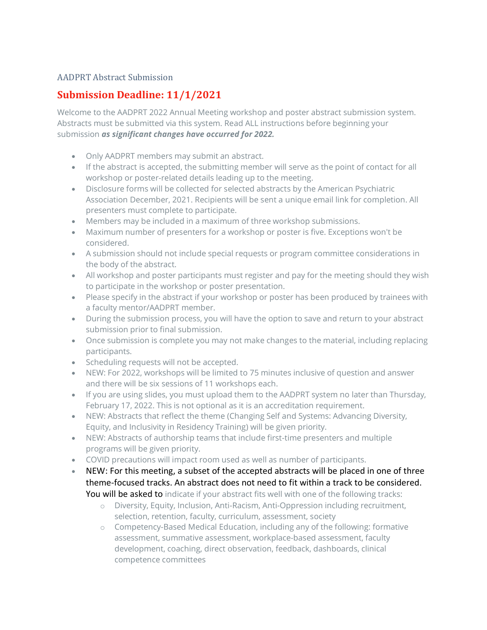## AADPRT Abstract Submission

## **Submission Deadline: 11/1/2021**

Welcome to the AADPRT 2022 Annual Meeting workshop and poster abstract submission system. Abstracts must be submitted via this system. Read ALL instructions before beginning your submission *as significant changes have occurred for 2022.*

- Only AADPRT members may submit an abstract.
- If the abstract is accepted, the submitting member will serve as the point of contact for all workshop or poster-related details leading up to the meeting.
- Disclosure forms will be collected for selected abstracts by the American Psychiatric Association December, 2021. Recipients will be sent a unique email link for completion. All presenters must complete to participate.
- Members may be included in a maximum of three workshop submissions.
- Maximum number of presenters for a workshop or poster is five. Exceptions won't be considered.
- A submission should not include special requests or program committee considerations in the body of the abstract.
- All workshop and poster participants must register and pay for the meeting should they wish to participate in the workshop or poster presentation.
- Please specify in the abstract if your workshop or poster has been produced by trainees with a faculty mentor/AADPRT member.
- During the submission process, you will have the option to save and return to your abstract submission prior to final submission.
- Once submission is complete you may not make changes to the material, including replacing participants.
- Scheduling requests will not be accepted.
- NEW: For 2022, workshops will be limited to 75 minutes inclusive of question and answer and there will be six sessions of 11 workshops each.
- If you are using slides, you must upload them to the AADPRT system no later than Thursday, February 17, 2022. This is not optional as it is an accreditation requirement.
- NEW: Abstracts that reflect the theme (Changing Self and Systems: Advancing Diversity, Equity, and Inclusivity in Residency Training) will be given priority.
- NEW: Abstracts of authorship teams that include first-time presenters and multiple programs will be given priority.
- COVID precautions will impact room used as well as number of participants.
- NEW: For this meeting, a subset of the accepted abstracts will be placed in one of three theme-focused tracks. An abstract does not need to fit within a track to be considered. You will be asked to indicate if your abstract fits well with one of the following tracks:
	- o Diversity, Equity, Inclusion, Anti-Racism, Anti-Oppression including recruitment, selection, retention, faculty, curriculum, assessment, society
	- o Competency-Based Medical Education, including any of the following: formative assessment, summative assessment, workplace-based assessment, faculty development, coaching, direct observation, feedback, dashboards, clinical competence committees